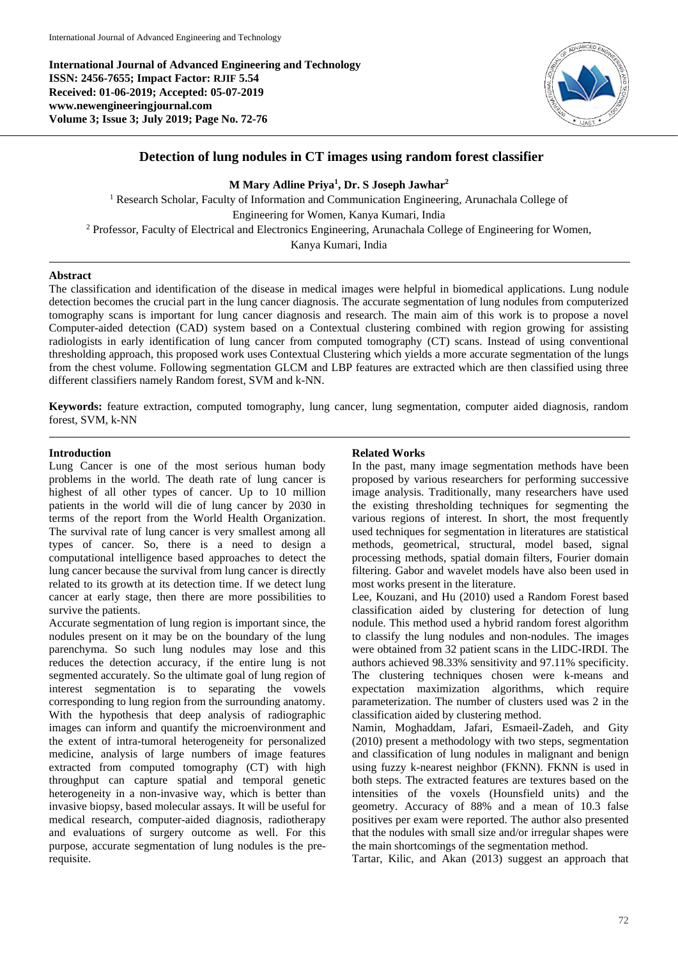**International Journal of Advanced Engineering and Technology ISSN: 2456-7655; Impact Factor: RJIF 5.54 Received: 01-06-2019; Accepted: 05-07-2019 www.newengineeringjournal.com Volume 3; Issue 3; July 2019; Page No. 72-76**



# **Detection of lung nodules in CT images using random forest classifier**

**M Mary Adline Priya<sup>1</sup> , Dr. S Joseph Jawhar<sup>2</sup>**

<sup>1</sup> Research Scholar, Faculty of Information and Communication Engineering, Arunachala College of Engineering for Women, Kanya Kumari, India <sup>2</sup> Professor, Faculty of Electrical and Electronics Engineering, Arunachala College of Engineering for Women, Kanya Kumari, India

### **Abstract**

The classification and identification of the disease in medical images were helpful in biomedical applications. Lung nodule detection becomes the crucial part in the lung cancer diagnosis. The accurate segmentation of lung nodules from computerized tomography scans is important for lung cancer diagnosis and research. The main aim of this work is to propose a novel Computer-aided detection (CAD) system based on a Contextual clustering combined with region growing for assisting radiologists in early identification of lung cancer from computed tomography (CT) scans. Instead of using conventional thresholding approach, this proposed work uses Contextual Clustering which yields a more accurate segmentation of the lungs from the chest volume. Following segmentation GLCM and LBP features are extracted which are then classified using three different classifiers namely Random forest, SVM and k-NN.

**Keywords:** feature extraction, computed tomography, lung cancer, lung segmentation, computer aided diagnosis, random forest, SVM, k-NN

#### **Introduction**

Lung Cancer is one of the most serious human body problems in the world. The death rate of lung cancer is highest of all other types of cancer. Up to 10 million patients in the world will die of lung cancer by 2030 in terms of the report from the World Health Organization. The survival rate of lung cancer is very smallest among all types of cancer. So, there is a need to design a computational intelligence based approaches to detect the lung cancer because the survival from lung cancer is directly related to its growth at its detection time. If we detect lung cancer at early stage, then there are more possibilities to survive the patients.

Accurate segmentation of lung region is important since, the nodules present on it may be on the boundary of the lung parenchyma. So such lung nodules may lose and this reduces the detection accuracy, if the entire lung is not segmented accurately. So the ultimate goal of lung region of interest segmentation is to separating the vowels corresponding to lung region from the surrounding anatomy. With the hypothesis that deep analysis of radiographic images can inform and quantify the microenvironment and the extent of intra-tumoral heterogeneity for personalized medicine, analysis of large numbers of image features extracted from computed tomography (CT) with high throughput can capture spatial and temporal genetic heterogeneity in a non-invasive way, which is better than invasive biopsy, based molecular assays. It will be useful for medical research, computer-aided diagnosis, radiotherapy and evaluations of surgery outcome as well. For this purpose, accurate segmentation of lung nodules is the prerequisite.

### **Related Works**

In the past, many image segmentation methods have been proposed by various researchers for performing successive image analysis. Traditionally, many researchers have used the existing thresholding techniques for segmenting the various regions of interest. In short, the most frequently used techniques for segmentation in literatures are statistical methods, geometrical, structural, model based, signal processing methods, spatial domain filters, Fourier domain filtering. Gabor and wavelet models have also been used in most works present in the literature.

Lee, Kouzani, and Hu (2010) used a Random Forest based classification aided by clustering for detection of lung nodule. This method used a hybrid random forest algorithm to classify the lung nodules and non-nodules. The images were obtained from 32 patient scans in the LIDC-IRDI. The authors achieved 98.33% sensitivity and 97.11% specificity. The clustering techniques chosen were k-means and expectation maximization algorithms, which require parameterization. The number of clusters used was 2 in the classification aided by clustering method.

Namin, Moghaddam, Jafari, Esmaeil-Zadeh, and Gity (2010) present a methodology with two steps, segmentation and classification of lung nodules in malignant and benign using fuzzy k-nearest neighbor (FKNN). FKNN is used in both steps. The extracted features are textures based on the intensities of the voxels (Hounsfield units) and the geometry. Accuracy of 88% and a mean of 10.3 false positives per exam were reported. The author also presented that the nodules with small size and/or irregular shapes were the main shortcomings of the segmentation method.

Tartar, Kilic, and Akan (2013) suggest an approach that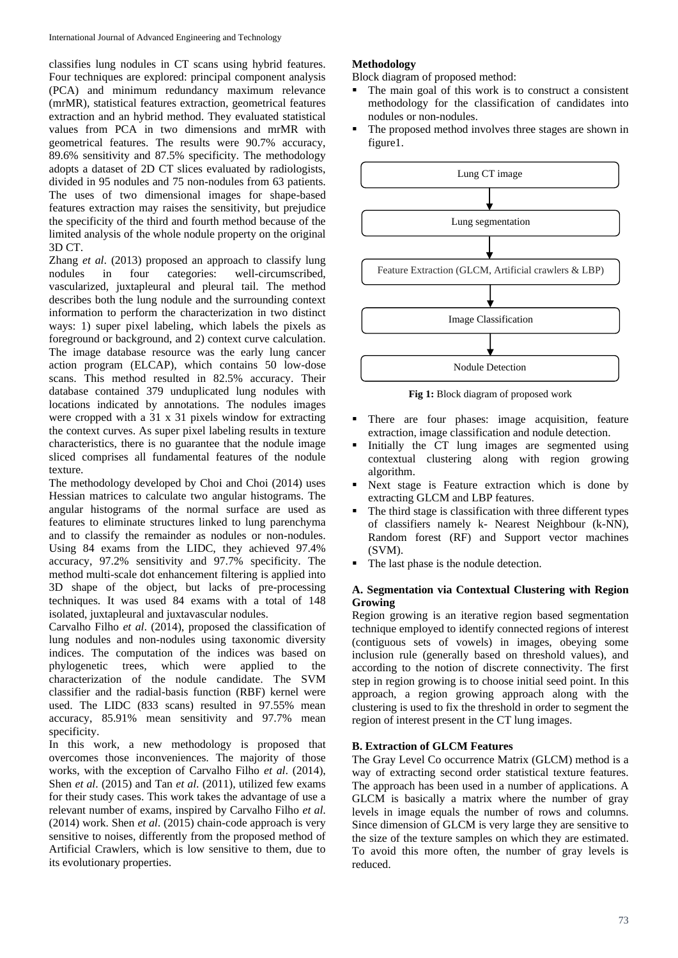classifies lung nodules in CT scans using hybrid features. Four techniques are explored: principal component analysis (PCA) and minimum redundancy maximum relevance (mrMR), statistical features extraction, geometrical features extraction and an hybrid method. They evaluated statistical values from PCA in two dimensions and mrMR with geometrical features. The results were 90.7% accuracy, 89.6% sensitivity and 87.5% specificity. The methodology adopts a dataset of 2D CT slices evaluated by radiologists, divided in 95 nodules and 75 non-nodules from 63 patients. The uses of two dimensional images for shape-based features extraction may raises the sensitivity, but prejudice the specificity of the third and fourth method because of the limited analysis of the whole nodule property on the original 3D CT.

Zhang *et al*. (2013) proposed an approach to classify lung nodules in four categories: well-circumscribed, vascularized, juxtapleural and pleural tail. The method describes both the lung nodule and the surrounding context information to perform the characterization in two distinct ways: 1) super pixel labeling, which labels the pixels as foreground or background, and 2) context curve calculation. The image database resource was the early lung cancer action program (ELCAP), which contains 50 low-dose scans. This method resulted in 82.5% accuracy. Their database contained 379 unduplicated lung nodules with locations indicated by annotations. The nodules images were cropped with a 31 x 31 pixels window for extracting the context curves. As super pixel labeling results in texture characteristics, there is no guarantee that the nodule image sliced comprises all fundamental features of the nodule texture.

The methodology developed by Choi and Choi (2014) uses Hessian matrices to calculate two angular histograms. The angular histograms of the normal surface are used as features to eliminate structures linked to lung parenchyma and to classify the remainder as nodules or non-nodules. Using 84 exams from the LIDC, they achieved 97.4% accuracy, 97.2% sensitivity and 97.7% specificity. The method multi-scale dot enhancement filtering is applied into 3D shape of the object, but lacks of pre-processing techniques. It was used 84 exams with a total of 148 isolated, juxtapleural and juxtavascular nodules.

Carvalho Filho *et al*. (2014), proposed the classification of lung nodules and non-nodules using taxonomic diversity indices. The computation of the indices was based on phylogenetic trees, which were applied to the characterization of the nodule candidate. The SVM classifier and the radial-basis function (RBF) kernel were used. The LIDC (833 scans) resulted in 97.55% mean accuracy, 85.91% mean sensitivity and 97.7% mean specificity.

In this work, a new methodology is proposed that overcomes those inconveniences. The majority of those works, with the exception of Carvalho Filho *et al*. (2014), Shen *et al*. (2015) and Tan *et al*. (2011), utilized few exams for their study cases. This work takes the advantage of use a relevant number of exams, inspired by Carvalho Filho *et al*. (2014) work. Shen *et al*. (2015) chain-code approach is very sensitive to noises, differently from the proposed method of Artificial Crawlers, which is low sensitive to them, due to its evolutionary properties.

# **Methodology**

Block diagram of proposed method:

- The main goal of this work is to construct a consistent methodology for the classification of candidates into nodules or non-nodules.
- The proposed method involves three stages are shown in figure1.



**Fig 1:** Block diagram of proposed work

- There are four phases: image acquisition, feature extraction, image classification and nodule detection.
- Initially the CT lung images are segmented using contextual clustering along with region growing algorithm.
- Next stage is Feature extraction which is done by extracting GLCM and LBP features.
- The third stage is classification with three different types of classifiers namely k- Nearest Neighbour (k-NN), Random forest (RF) and Support vector machines (SVM).
- The last phase is the nodule detection.

## **A. Segmentation via Contextual Clustering with Region Growing**

Region growing is an iterative region based segmentation technique employed to identify connected regions of interest (contiguous sets of vowels) in images, obeying some inclusion rule (generally based on threshold values), and according to the notion of discrete connectivity. The first step in region growing is to choose initial seed point. In this approach, a region growing approach along with the clustering is used to fix the threshold in order to segment the region of interest present in the CT lung images.

# **B. Extraction of GLCM Features**

The Gray Level Co occurrence Matrix (GLCM) method is a way of extracting second order statistical texture features. The approach has been used in a number of applications. A GLCM is basically a matrix where the number of gray levels in image equals the number of rows and columns. Since dimension of GLCM is very large they are sensitive to the size of the texture samples on which they are estimated. To avoid this more often, the number of gray levels is reduced.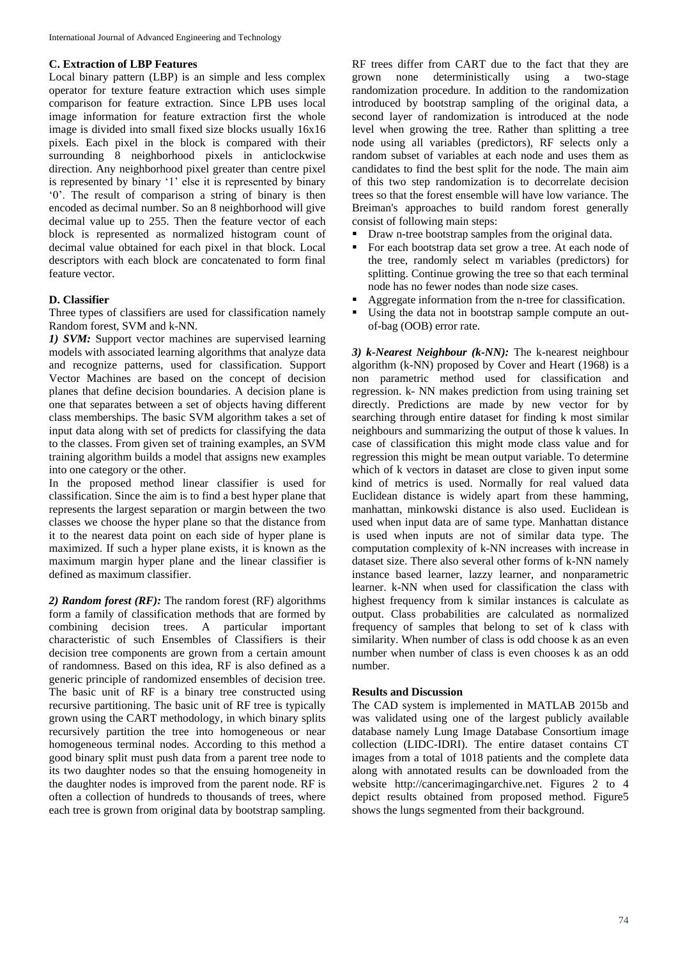### **C. Extraction of LBP Features**

Local binary pattern (LBP) is an simple and less complex operator for texture feature extraction which uses simple comparison for feature extraction. Since LPB uses local image information for feature extraction first the whole image is divided into small fixed size blocks usually 16x16 pixels. Each pixel in the block is compared with their surrounding 8 neighborhood pixels in anticlockwise direction. Any neighborhood pixel greater than centre pixel is represented by binary '1' else it is represented by binary '0'. The result of comparison a string of binary is then encoded as decimal number. So an 8 neighborhood will give decimal value up to 255. Then the feature vector of each block is represented as normalized histogram count of decimal value obtained for each pixel in that block. Local descriptors with each block are concatenated to form final feature vector.

#### **D. Classifier**

Three types of classifiers are used for classification namely Random forest, SVM and k-NN.

*1) SVM:* Support vector machines are supervised learning models with associated learning algorithms that analyze data and recognize patterns, used for classification. Support Vector Machines are based on the concept of decision planes that define decision boundaries. A decision plane is one that separates between a set of objects having different class memberships. The basic SVM algorithm takes a set of input data along with set of predicts for classifying the data to the classes. From given set of training examples, an SVM training algorithm builds a model that assigns new examples into one category or the other.

In the proposed method linear classifier is used for classification. Since the aim is to find a best hyper plane that represents the largest separation or margin between the two classes we choose the hyper plane so that the distance from it to the nearest data point on each side of hyper plane is maximized. If such a hyper plane exists, it is known as the maximum margin hyper plane and the linear classifier is defined as maximum classifier.

*2) Random forest (RF):* The random forest (RF) algorithms form a family of classification methods that are formed by combining decision trees. A particular important characteristic of such Ensembles of Classifiers is their decision tree components are grown from a certain amount of randomness. Based on this idea, RF is also defined as a generic principle of randomized ensembles of decision tree. The basic unit of RF is a binary tree constructed using recursive partitioning. The basic unit of RF tree is typically grown using the CART methodology, in which binary splits recursively partition the tree into homogeneous or near homogeneous terminal nodes. According to this method a good binary split must push data from a parent tree node to its two daughter nodes so that the ensuing homogeneity in the daughter nodes is improved from the parent node. RF is often a collection of hundreds to thousands of trees, where each tree is grown from original data by bootstrap sampling.

RF trees differ from CART due to the fact that they are grown none deterministically using a two-stage randomization procedure. In addition to the randomization introduced by bootstrap sampling of the original data, a second layer of randomization is introduced at the node level when growing the tree. Rather than splitting a tree node using all variables (predictors), RF selects only a random subset of variables at each node and uses them as candidates to find the best split for the node. The main aim of this two step randomization is to decorrelate decision trees so that the forest ensemble will have low variance. The Breiman's approaches to build random forest generally consist of following main steps:

- Draw n-tree bootstrap samples from the original data.
- For each bootstrap data set grow a tree. At each node of the tree, randomly select m variables (predictors) for splitting. Continue growing the tree so that each terminal node has no fewer nodes than node size cases.
- Aggregate information from the n-tree for classification.
- Using the data not in bootstrap sample compute an outof-bag (OOB) error rate.

*3) k-Nearest Neighbour (k-NN):* The k-nearest neighbour algorithm (k-NN) proposed by Cover and Heart (1968) is a non parametric method used for classification and regression. k- NN makes prediction from using training set directly. Predictions are made by new vector for by searching through entire dataset for finding k most similar neighbours and summarizing the output of those k values. In case of classification this might mode class value and for regression this might be mean output variable. To determine which of k vectors in dataset are close to given input some kind of metrics is used. Normally for real valued data Euclidean distance is widely apart from these hamming, manhattan, minkowski distance is also used. Euclidean is used when input data are of same type. Manhattan distance is used when inputs are not of similar data type. The computation complexity of k-NN increases with increase in dataset size. There also several other forms of k-NN namely instance based learner, lazzy learner, and nonparametric learner. k-NN when used for classification the class with highest frequency from k similar instances is calculate as output. Class probabilities are calculated as normalized frequency of samples that belong to set of k class with similarity. When number of class is odd choose k as an even number when number of class is even chooses k as an odd number.

#### **Results and Discussion**

The CAD system is implemented in MATLAB 2015b and was validated using one of the largest publicly available database namely Lung Image Database Consortium image collection (LIDC-IDRI). The entire dataset contains CT images from a total of 1018 patients and the complete data along with annotated results can be downloaded from the website http://cancerimagingarchive.net. Figures 2 to 4 depict results obtained from proposed method. Figure5 shows the lungs segmented from their background.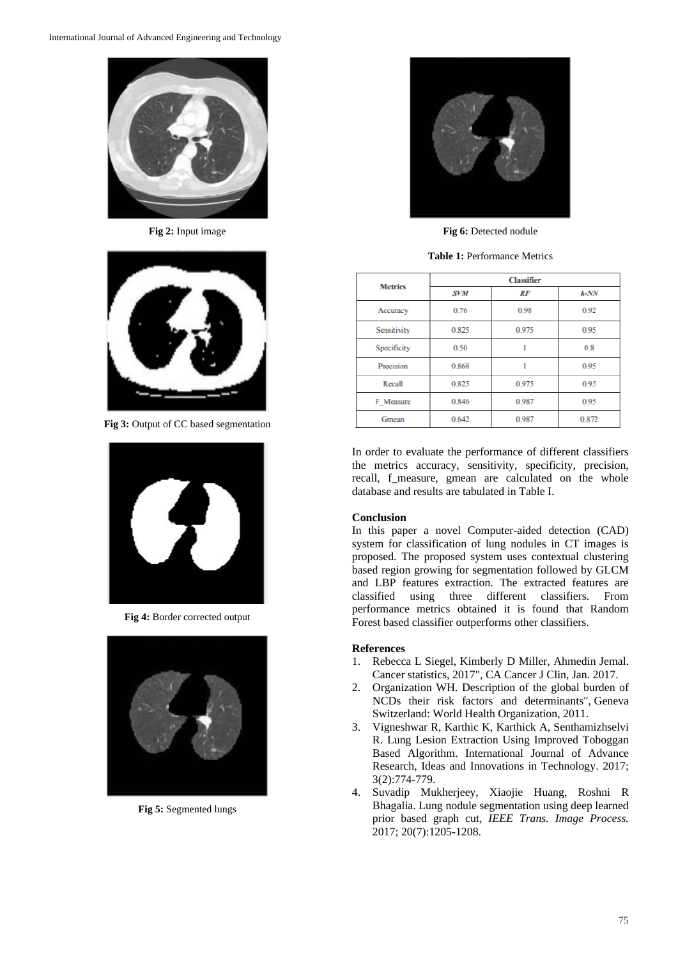

**Fig 2:** Input image



**Fig 3:** Output of CC based segmentation



**Fig 4:** Border corrected output



**Fig 5:** Segmented lungs



**Fig 6:** Detected nodule

**Table 1:** Performance Metrics

| <b>Metrics</b> | <b>Classifier</b> |       |         |
|----------------|-------------------|-------|---------|
|                | <b>SVM</b>        | RF    | $k$ -NN |
| Accuracy       | 0.76              | 0.98  | 0.92    |
| Sensitivity    | 0.825             | 0.975 | 0.95    |
| Specificity    | 0.50              | 1     | 0.8     |
| Precision      | 0.868             | ı     | 0.95    |
| Recall         | 0.825             | 0.975 | 0.95    |
| F Measure      | 0.846             | 0.987 | 0.95    |
| Gmean          | 0.642             | 0.987 | 0.872   |

In order to evaluate the performance of different classifiers the metrics accuracy, sensitivity, specificity, precision, recall, f\_measure, gmean are calculated on the whole database and results are tabulated in Table I.

## **Conclusion**

In this paper a novel Computer-aided detection (CAD) system for classification of lung nodules in CT images is proposed. The proposed system uses contextual clustering based region growing for segmentation followed by GLCM and LBP features extraction. The extracted features are classified using three different classifiers. From performance metrics obtained it is found that Random Forest based classifier outperforms other classifiers.

## **References**

- 1. Rebecca L Siegel, Kimberly D Miller, Ahmedin Jemal. Cancer statistics, 2017", CA Cancer J Clin, Jan. 2017.
- 2. Organization WH. Description of the global burden of NCDs their risk factors and determinants", Geneva Switzerland: World Health Organization, 2011.
- 3. Vigneshwar R, Karthic K, Karthick A, Senthamizhselvi R. Lung Lesion Extraction Using Improved Toboggan Based Algorithm. International Journal of Advance Research, Ideas and Innovations in Technology. 2017; 3(2):774-779.
- 4. Suvadip Mukherjeey, Xiaojie Huang, Roshni R Bhagalia. Lung nodule segmentation using deep learned prior based graph cut, *IEEE Trans. Image Process.* 2017; 20(7):1205-1208.